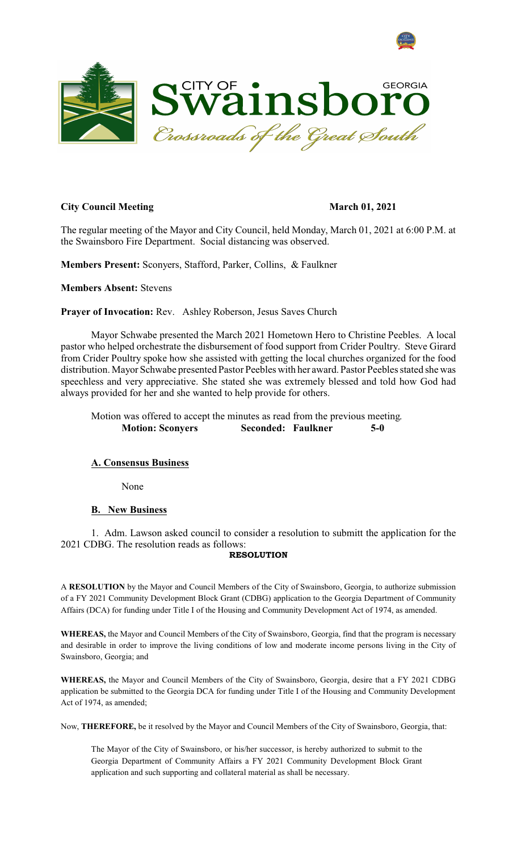



## **City Council Meeting March 01, 2021**

The regular meeting of the Mayor and City Council, held Monday, March 01, 2021 at 6:00 P.M. at the Swainsboro Fire Department. Social distancing was observed.

**Members Present:** Sconyers, Stafford, Parker, Collins, & Faulkner

**Members Absent:** Stevens

**Prayer of Invocation:** Rev. Ashley Roberson, Jesus Saves Church

Mayor Schwabe presented the March 2021 Hometown Hero to Christine Peebles. A local pastor who helped orchestrate the disbursement of food support from Crider Poultry. Steve Girard from Crider Poultry spoke how she assisted with getting the local churches organized for the food distribution. Mayor Schwabe presented Pastor Peebles with her award. Pastor Peebles stated she was speechless and very appreciative. She stated she was extremely blessed and told how God had always provided for her and she wanted to help provide for others.

Motion was offered to accept the minutes as read from the previous meeting. **Motion: Sconyers Seconded: Faulkner 5-0** 

## **A. Consensus Business**

None

## **B. New Business**

1. Adm. Lawson asked council to consider a resolution to submitt the application for the 2021 CDBG. The resolution reads as follows:

### **RESOLUTION**

A **RESOLUTION** by the Mayor and Council Members of the City of Swainsboro, Georgia, to authorize submission of a FY 2021 Community Development Block Grant (CDBG) application to the Georgia Department of Community Affairs (DCA) for funding under Title I of the Housing and Community Development Act of 1974, as amended.

**WHEREAS,** the Mayor and Council Members of the City of Swainsboro, Georgia, find that the program is necessary and desirable in order to improve the living conditions of low and moderate income persons living in the City of Swainsboro, Georgia; and

**WHEREAS,** the Mayor and Council Members of the City of Swainsboro, Georgia, desire that a FY 2021 CDBG application be submitted to the Georgia DCA for funding under Title I of the Housing and Community Development Act of 1974, as amended;

Now, **THEREFORE,** be it resolved by the Mayor and Council Members of the City of Swainsboro, Georgia, that:

The Mayor of the City of Swainsboro, or his/her successor, is hereby authorized to submit to the Georgia Department of Community Affairs a FY 2021 Community Development Block Grant application and such supporting and collateral material as shall be necessary.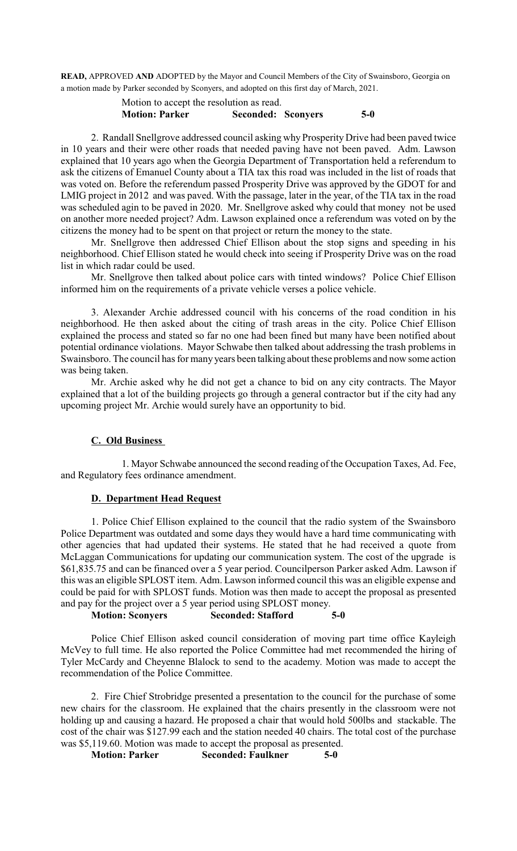**READ,** APPROVED **AND** ADOPTED by the Mayor and Council Members of the City of Swainsboro, Georgia on a motion made by Parker seconded by Sconyers, and adopted on this first day of March, 2021.

# Motion to accept the resolution as read. **Motion: Parker Seconded: Sconyers 5-0**

2. Randall Snellgrove addressed council asking why Prosperity Drive had been paved twice in 10 years and their were other roads that needed paving have not been paved. Adm. Lawson explained that 10 years ago when the Georgia Department of Transportation held a referendum to ask the citizens of Emanuel County about a TIA tax this road was included in the list of roads that was voted on. Before the referendum passed Prosperity Drive was approved by the GDOT for and LMIG project in 2012 and was paved. With the passage, later in the year, of the TIA tax in the road was scheduled agin to be paved in 2020. Mr. Snellgrove asked why could that money not be used on another more needed project? Adm. Lawson explained once a referendum was voted on by the citizens the money had to be spent on that project or return the money to the state.

Mr. Snellgrove then addressed Chief Ellison about the stop signs and speeding in his neighborhood. Chief Ellison stated he would check into seeing if Prosperity Drive was on the road list in which radar could be used.

Mr. Snellgrove then talked about police cars with tinted windows? Police Chief Ellison informed him on the requirements of a private vehicle verses a police vehicle.

3. Alexander Archie addressed council with his concerns of the road condition in his neighborhood. He then asked about the citing of trash areas in the city. Police Chief Ellison explained the process and stated so far no one had been fined but many have been notified about potential ordinance violations. Mayor Schwabe then talked about addressing the trash problems in Swainsboro. The council has for many years been talking about these problems and now some action was being taken.

Mr. Archie asked why he did not get a chance to bid on any city contracts. The Mayor explained that a lot of the building projects go through a general contractor but if the city had any upcoming project Mr. Archie would surely have an opportunity to bid.

# **C. Old Business**

1. Mayor Schwabe announced the second reading of the Occupation Taxes, Ad. Fee, and Regulatory fees ordinance amendment.

## **D. Department Head Request**

1. Police Chief Ellison explained to the council that the radio system of the Swainsboro Police Department was outdated and some days they would have a hard time communicating with other agencies that had updated their systems. He stated that he had received a quote from McLaggan Communications for updating our communication system. The cost of the upgrade is \$61,835.75 and can be financed over a 5 year period. Councilperson Parker asked Adm. Lawson if this was an eligible SPLOST item. Adm. Lawson informed council this was an eligible expense and could be paid for with SPLOST funds. Motion was then made to accept the proposal as presented and pay for the project over a 5 year period using SPLOST money.

# **Motion: Sconyers Seconded: Stafford 5-0**

Police Chief Ellison asked council consideration of moving part time office Kayleigh McVey to full time. He also reported the Police Committee had met recommended the hiring of Tyler McCardy and Cheyenne Blalock to send to the academy. Motion was made to accept the recommendation of the Police Committee.

2. Fire Chief Strobridge presented a presentation to the council for the purchase of some new chairs for the classroom. He explained that the chairs presently in the classroom were not holding up and causing a hazard. He proposed a chair that would hold 500lbs and stackable. The cost of the chair was \$127.99 each and the station needed 40 chairs. The total cost of the purchase was \$5,119.60. Motion was made to accept the proposal as presented.<br>Motion: Parker Seconded: Faulkner 5-0

**Motion: Seconded: Faulkner 5-0**